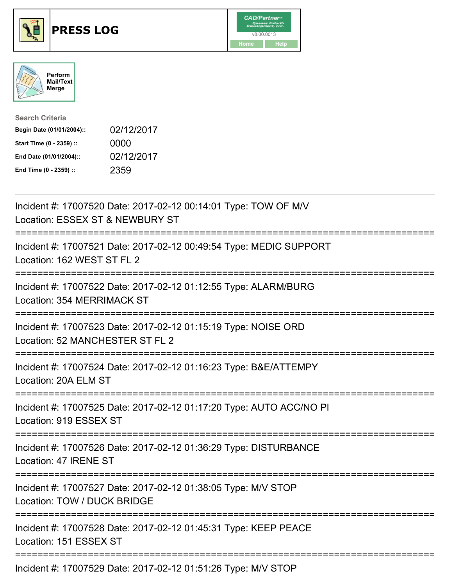





| <b>Search Criteria</b>    |            |
|---------------------------|------------|
| Begin Date (01/01/2004):: | 02/12/2017 |
| Start Time (0 - 2359) ::  | 0000       |
| End Date (01/01/2004)::   | 02/12/2017 |
| End Time (0 - 2359) ::    | 2359       |

| Incident #: 17007520 Date: 2017-02-12 00:14:01 Type: TOW OF M/V<br>Location: ESSEX ST & NEWBURY ST<br>---------<br>-------------------------- |
|-----------------------------------------------------------------------------------------------------------------------------------------------|
| Incident #: 17007521 Date: 2017-02-12 00:49:54 Type: MEDIC SUPPORT<br>Location: 162 WEST ST FL 2<br>==================                        |
| Incident #: 17007522 Date: 2017-02-12 01:12:55 Type: ALARM/BURG<br>Location: 354 MERRIMACK ST<br>:===================================         |
| Incident #: 17007523 Date: 2017-02-12 01:15:19 Type: NOISE ORD<br>Location: 52 MANCHESTER ST FL 2<br>------------------------<br>------------ |
| Incident #: 17007524 Date: 2017-02-12 01:16:23 Type: B&E/ATTEMPY<br>Location: 20A ELM ST                                                      |
| Incident #: 17007525 Date: 2017-02-12 01:17:20 Type: AUTO ACC/NO PI<br>Location: 919 ESSEX ST                                                 |
| Incident #: 17007526 Date: 2017-02-12 01:36:29 Type: DISTURBANCE<br>Location: 47 IRENE ST                                                     |
| Incident #: 17007527 Date: 2017-02-12 01:38:05 Type: M/V STOP<br>Location: TOW / DUCK BRIDGE                                                  |
| :=====================================<br>Incident #: 17007528 Date: 2017-02-12 01:45:31 Type: KEEP PEACE<br>Location: 151 ESSEX ST           |
| Incident #: 17007529 Date: 2017-02-12 01:51:26 Type: M/V STOP                                                                                 |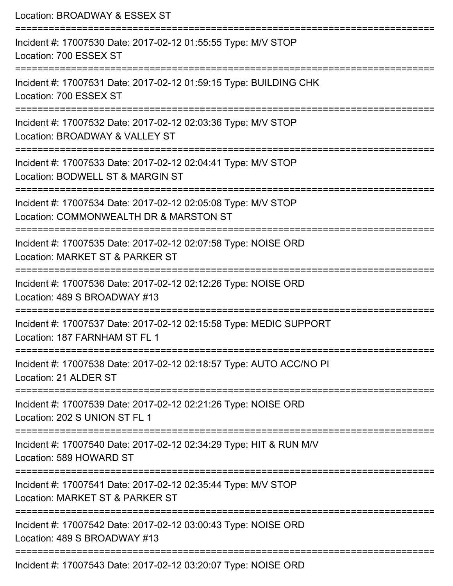| Location: BROADWAY & ESSEX ST                                                                                                     |
|-----------------------------------------------------------------------------------------------------------------------------------|
| Incident #: 17007530 Date: 2017-02-12 01:55:55 Type: M/V STOP<br>Location: 700 ESSEX ST<br>-----------------                      |
| Incident #: 17007531 Date: 2017-02-12 01:59:15 Type: BUILDING CHK<br>Location: 700 ESSEX ST                                       |
| Incident #: 17007532 Date: 2017-02-12 02:03:36 Type: M/V STOP<br>Location: BROADWAY & VALLEY ST                                   |
| Incident #: 17007533 Date: 2017-02-12 02:04:41 Type: M/V STOP<br>Location: BODWELL ST & MARGIN ST                                 |
| Incident #: 17007534 Date: 2017-02-12 02:05:08 Type: M/V STOP<br>Location: COMMONWEALTH DR & MARSTON ST                           |
| .---------------------------<br>Incident #: 17007535 Date: 2017-02-12 02:07:58 Type: NOISE ORD<br>Location: MARKET ST & PARKER ST |
| Incident #: 17007536 Date: 2017-02-12 02:12:26 Type: NOISE ORD<br>Location: 489 S BROADWAY #13                                    |
| Incident #: 17007537 Date: 2017-02-12 02:15:58 Type: MEDIC SUPPORT<br>Location: 187 FARNHAM ST FL 1                               |
| Incident #: 17007538 Date: 2017-02-12 02:18:57 Type: AUTO ACC/NO PI<br>Location: 21 ALDER ST                                      |
| Incident #: 17007539 Date: 2017-02-12 02:21:26 Type: NOISE ORD<br>Location: 202 S UNION ST FL 1                                   |
| Incident #: 17007540 Date: 2017-02-12 02:34:29 Type: HIT & RUN M/V<br>Location: 589 HOWARD ST                                     |
| Incident #: 17007541 Date: 2017-02-12 02:35:44 Type: M/V STOP<br>Location: MARKET ST & PARKER ST                                  |
| Incident #: 17007542 Date: 2017-02-12 03:00:43 Type: NOISE ORD<br>Location: 489 S BROADWAY #13                                    |
| $Incidant #: 17007543 \text{ Data}: 2017.02.12.03:20:07.$                                                                         |

Incident #: 17007543 Date: 2017-02-12 03:20:07 Type: NOISE ORD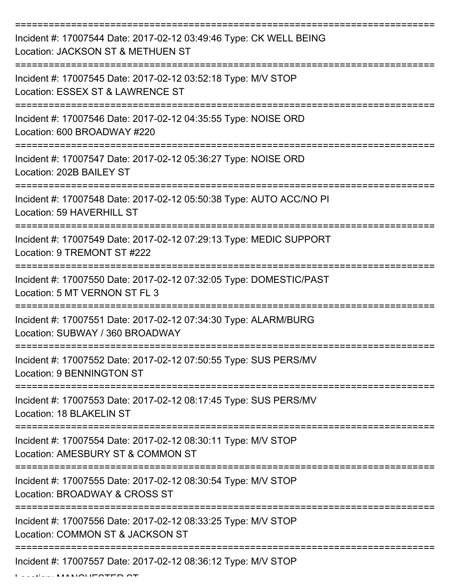| Incident #: 17007544 Date: 2017-02-12 03:49:46 Type: CK WELL BEING<br>Location: JACKSON ST & METHUEN ST |
|---------------------------------------------------------------------------------------------------------|
| Incident #: 17007545 Date: 2017-02-12 03:52:18 Type: M/V STOP<br>Location: ESSEX ST & LAWRENCE ST       |
| Incident #: 17007546 Date: 2017-02-12 04:35:55 Type: NOISE ORD<br>Location: 600 BROADWAY #220           |
| Incident #: 17007547 Date: 2017-02-12 05:36:27 Type: NOISE ORD<br>Location: 202B BAILEY ST              |
| Incident #: 17007548 Date: 2017-02-12 05:50:38 Type: AUTO ACC/NO PI<br>Location: 59 HAVERHILL ST        |
| Incident #: 17007549 Date: 2017-02-12 07:29:13 Type: MEDIC SUPPORT<br>Location: 9 TREMONT ST #222       |
| Incident #: 17007550 Date: 2017-02-12 07:32:05 Type: DOMESTIC/PAST<br>Location: 5 MT VERNON ST FL 3     |
| Incident #: 17007551 Date: 2017-02-12 07:34:30 Type: ALARM/BURG<br>Location: SUBWAY / 360 BROADWAY      |
| Incident #: 17007552 Date: 2017-02-12 07:50:55 Type: SUS PERS/MV<br><b>Location: 9 BENNINGTON ST</b>    |
| Incident #: 17007553 Date: 2017-02-12 08:17:45 Type: SUS PERS/MV<br>Location: 18 BLAKELIN ST            |
| Incident #: 17007554 Date: 2017-02-12 08:30:11 Type: M/V STOP<br>Location: AMESBURY ST & COMMON ST      |
| Incident #: 17007555 Date: 2017-02-12 08:30:54 Type: M/V STOP<br>Location: BROADWAY & CROSS ST          |
| Incident #: 17007556 Date: 2017-02-12 08:33:25 Type: M/V STOP<br>Location: COMMON ST & JACKSON ST       |
| Incident #: 17007557 Date: 2017-02-12 08:36:12 Type: M/V STOP                                           |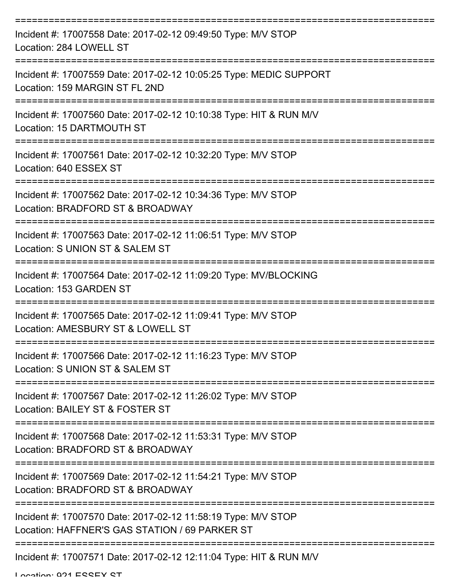| Incident #: 17007558 Date: 2017-02-12 09:49:50 Type: M/V STOP<br>Location: 284 LOWELL ST                        |
|-----------------------------------------------------------------------------------------------------------------|
| Incident #: 17007559 Date: 2017-02-12 10:05:25 Type: MEDIC SUPPORT<br>Location: 159 MARGIN ST FL 2ND            |
| Incident #: 17007560 Date: 2017-02-12 10:10:38 Type: HIT & RUN M/V<br>Location: 15 DARTMOUTH ST                 |
| Incident #: 17007561 Date: 2017-02-12 10:32:20 Type: M/V STOP<br>Location: 640 ESSEX ST                         |
| Incident #: 17007562 Date: 2017-02-12 10:34:36 Type: M/V STOP<br>Location: BRADFORD ST & BROADWAY               |
| Incident #: 17007563 Date: 2017-02-12 11:06:51 Type: M/V STOP<br>Location: S UNION ST & SALEM ST                |
| Incident #: 17007564 Date: 2017-02-12 11:09:20 Type: MV/BLOCKING<br>Location: 153 GARDEN ST                     |
| Incident #: 17007565 Date: 2017-02-12 11:09:41 Type: M/V STOP<br>Location: AMESBURY ST & LOWELL ST              |
| Incident #: 17007566 Date: 2017-02-12 11:16:23 Type: M/V STOP<br>Location: S UNION ST & SALEM ST                |
| Incident #: 17007567 Date: 2017-02-12 11:26:02 Type: M/V STOP<br>Location: BAILEY ST & FOSTER ST                |
| Incident #: 17007568 Date: 2017-02-12 11:53:31 Type: M/V STOP<br>Location: BRADFORD ST & BROADWAY               |
| Incident #: 17007569 Date: 2017-02-12 11:54:21 Type: M/V STOP<br>Location: BRADFORD ST & BROADWAY               |
| Incident #: 17007570 Date: 2017-02-12 11:58:19 Type: M/V STOP<br>Location: HAFFNER'S GAS STATION / 69 PARKER ST |
| Incident #: 17007571 Date: 2017-02-12 12:11:04 Type: HIT & RUN M/V                                              |

Location: 021 ESSEY ST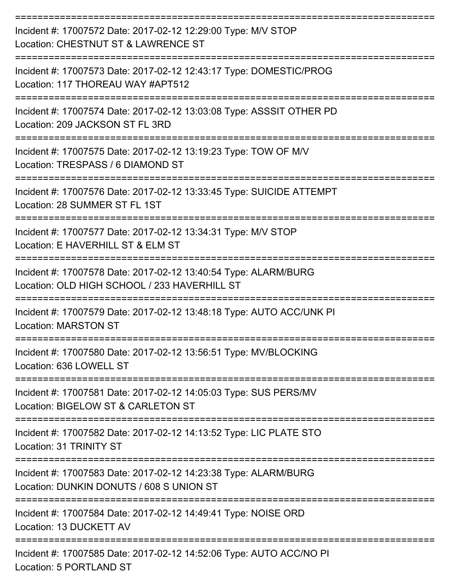| Incident #: 17007572 Date: 2017-02-12 12:29:00 Type: M/V STOP<br>Location: CHESTNUT ST & LAWRENCE ST            |
|-----------------------------------------------------------------------------------------------------------------|
| Incident #: 17007573 Date: 2017-02-12 12:43:17 Type: DOMESTIC/PROG<br>Location: 117 THOREAU WAY #APT512         |
| Incident #: 17007574 Date: 2017-02-12 13:03:08 Type: ASSSIT OTHER PD<br>Location: 209 JACKSON ST FL 3RD         |
| Incident #: 17007575 Date: 2017-02-12 13:19:23 Type: TOW OF M/V<br>Location: TRESPASS / 6 DIAMOND ST            |
| Incident #: 17007576 Date: 2017-02-12 13:33:45 Type: SUICIDE ATTEMPT<br>Location: 28 SUMMER ST FL 1ST           |
| Incident #: 17007577 Date: 2017-02-12 13:34:31 Type: M/V STOP<br>Location: E HAVERHILL ST & ELM ST              |
| Incident #: 17007578 Date: 2017-02-12 13:40:54 Type: ALARM/BURG<br>Location: OLD HIGH SCHOOL / 233 HAVERHILL ST |
| Incident #: 17007579 Date: 2017-02-12 13:48:18 Type: AUTO ACC/UNK PI<br><b>Location: MARSTON ST</b>             |
| Incident #: 17007580 Date: 2017-02-12 13:56:51 Type: MV/BLOCKING<br>Location: 636 LOWELL ST                     |
| Incident #: 17007581 Date: 2017-02-12 14:05:03 Type: SUS PERS/MV<br>Location: BIGELOW ST & CARLETON ST          |
| Incident #: 17007582 Date: 2017-02-12 14:13:52 Type: LIC PLATE STO<br>Location: 31 TRINITY ST                   |
| Incident #: 17007583 Date: 2017-02-12 14:23:38 Type: ALARM/BURG<br>Location: DUNKIN DONUTS / 608 S UNION ST     |
| Incident #: 17007584 Date: 2017-02-12 14:49:41 Type: NOISE ORD<br>Location: 13 DUCKETT AV                       |
| Incident #: 17007585 Date: 2017-02-12 14:52:06 Type: AUTO ACC/NO PI<br>Location: 5 PORTLAND ST                  |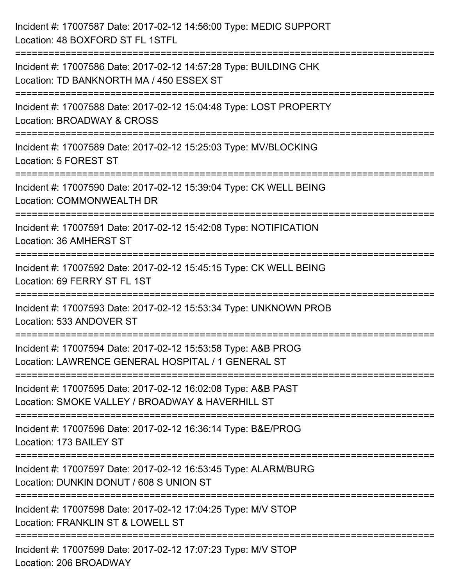| Incident #: 17007587 Date: 2017-02-12 14:56:00 Type: MEDIC SUPPORT<br>Location: 48 BOXFORD ST FL 1STFL                                 |
|----------------------------------------------------------------------------------------------------------------------------------------|
| Incident #: 17007586 Date: 2017-02-12 14:57:28 Type: BUILDING CHK<br>Location: TD BANKNORTH MA / 450 ESSEX ST                          |
| Incident #: 17007588 Date: 2017-02-12 15:04:48 Type: LOST PROPERTY<br><b>Location: BROADWAY &amp; CROSS</b>                            |
| Incident #: 17007589 Date: 2017-02-12 15:25:03 Type: MV/BLOCKING<br>Location: 5 FOREST ST                                              |
| Incident #: 17007590 Date: 2017-02-12 15:39:04 Type: CK WELL BEING<br>Location: COMMONWEALTH DR<br>=================================== |
| Incident #: 17007591 Date: 2017-02-12 15:42:08 Type: NOTIFICATION<br>Location: 36 AMHERST ST                                           |
| Incident #: 17007592 Date: 2017-02-12 15:45:15 Type: CK WELL BEING<br>Location: 69 FERRY ST FL 1ST                                     |
| Incident #: 17007593 Date: 2017-02-12 15:53:34 Type: UNKNOWN PROB<br>Location: 533 ANDOVER ST                                          |
| Incident #: 17007594 Date: 2017-02-12 15:53:58 Type: A&B PROG<br>Location: LAWRENCE GENERAL HOSPITAL / 1 GENERAL ST                    |
| Incident #: 17007595 Date: 2017-02-12 16:02:08 Type: A&B PAST<br>Location: SMOKE VALLEY / BROADWAY & HAVERHILL ST                      |
| Incident #: 17007596 Date: 2017-02-12 16:36:14 Type: B&E/PROG<br>Location: 173 BAILEY ST                                               |
| Incident #: 17007597 Date: 2017-02-12 16:53:45 Type: ALARM/BURG<br>Location: DUNKIN DONUT / 608 S UNION ST                             |
| Incident #: 17007598 Date: 2017-02-12 17:04:25 Type: M/V STOP<br>Location: FRANKLIN ST & LOWELL ST                                     |
| Incident #: 17007599 Date: 2017-02-12 17:07:23 Type: M/V STOP<br>Location: 206 BROADWAY                                                |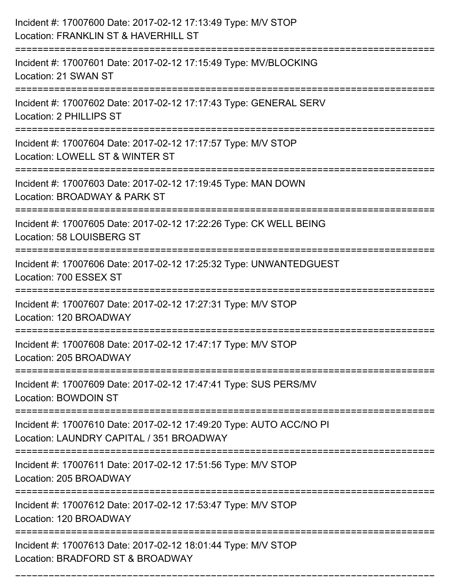| Incident #: 17007600 Date: 2017-02-12 17:13:49 Type: M/V STOP<br>Location: FRANKLIN ST & HAVERHILL ST               |
|---------------------------------------------------------------------------------------------------------------------|
| Incident #: 17007601 Date: 2017-02-12 17:15:49 Type: MV/BLOCKING<br>Location: 21 SWAN ST                            |
| Incident #: 17007602 Date: 2017-02-12 17:17:43 Type: GENERAL SERV<br>Location: 2 PHILLIPS ST                        |
| Incident #: 17007604 Date: 2017-02-12 17:17:57 Type: M/V STOP<br>Location: LOWELL ST & WINTER ST                    |
| Incident #: 17007603 Date: 2017-02-12 17:19:45 Type: MAN DOWN<br>Location: BROADWAY & PARK ST                       |
| Incident #: 17007605 Date: 2017-02-12 17:22:26 Type: CK WELL BEING<br>Location: 58 LOUISBERG ST                     |
| Incident #: 17007606 Date: 2017-02-12 17:25:32 Type: UNWANTEDGUEST<br>Location: 700 ESSEX ST                        |
| Incident #: 17007607 Date: 2017-02-12 17:27:31 Type: M/V STOP<br>Location: 120 BROADWAY                             |
| Incident #: 17007608 Date: 2017-02-12 17:47:17 Type: M/V STOP<br>Location: 205 BROADWAY                             |
| Incident #: 17007609 Date: 2017-02-12 17:47:41 Type: SUS PERS/MV<br>Location: BOWDOIN ST<br>----------------------- |
| Incident #: 17007610 Date: 2017-02-12 17:49:20 Type: AUTO ACC/NO PI<br>Location: LAUNDRY CAPITAL / 351 BROADWAY     |
| Incident #: 17007611 Date: 2017-02-12 17:51:56 Type: M/V STOP<br>Location: 205 BROADWAY                             |
| Incident #: 17007612 Date: 2017-02-12 17:53:47 Type: M/V STOP<br>Location: 120 BROADWAY                             |
| Incident #: 17007613 Date: 2017-02-12 18:01:44 Type: M/V STOP<br>Location: BRADFORD ST & BROADWAY                   |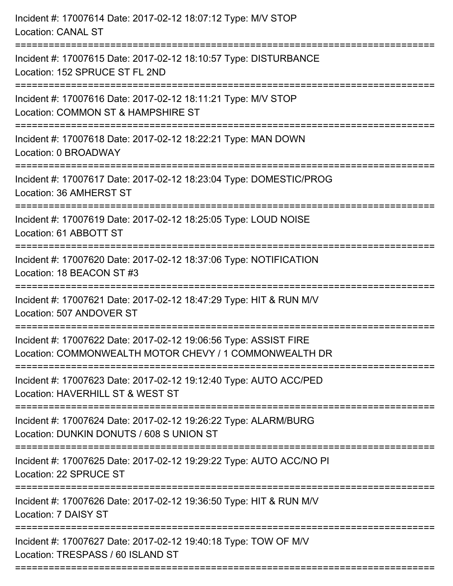| Incident #: 17007614 Date: 2017-02-12 18:07:12 Type: M/V STOP<br><b>Location: CANAL ST</b>                                              |
|-----------------------------------------------------------------------------------------------------------------------------------------|
| =================================<br>Incident #: 17007615 Date: 2017-02-12 18:10:57 Type: DISTURBANCE<br>Location: 152 SPRUCE ST FL 2ND |
| Incident #: 17007616 Date: 2017-02-12 18:11:21 Type: M/V STOP<br>Location: COMMON ST & HAMPSHIRE ST                                     |
| Incident #: 17007618 Date: 2017-02-12 18:22:21 Type: MAN DOWN<br>Location: 0 BROADWAY                                                   |
| Incident #: 17007617 Date: 2017-02-12 18:23:04 Type: DOMESTIC/PROG<br>Location: 36 AMHERST ST                                           |
| Incident #: 17007619 Date: 2017-02-12 18:25:05 Type: LOUD NOISE<br>Location: 61 ABBOTT ST                                               |
| :===================================<br>Incident #: 17007620 Date: 2017-02-12 18:37:06 Type: NOTIFICATION<br>Location: 18 BEACON ST #3  |
| Incident #: 17007621 Date: 2017-02-12 18:47:29 Type: HIT & RUN M/V<br>Location: 507 ANDOVER ST                                          |
| Incident #: 17007622 Date: 2017-02-12 19:06:56 Type: ASSIST FIRE<br>Location: COMMONWEALTH MOTOR CHEVY / 1 COMMONWEALTH DR              |
| Incident #: 17007623 Date: 2017-02-12 19:12:40 Type: AUTO ACC/PED<br>Location: HAVERHILL ST & WEST ST                                   |
| Incident #: 17007624 Date: 2017-02-12 19:26:22 Type: ALARM/BURG<br>Location: DUNKIN DONUTS / 608 S UNION ST                             |
| Incident #: 17007625 Date: 2017-02-12 19:29:22 Type: AUTO ACC/NO PI<br>Location: 22 SPRUCE ST                                           |
| Incident #: 17007626 Date: 2017-02-12 19:36:50 Type: HIT & RUN M/V<br>Location: 7 DAISY ST                                              |
| Incident #: 17007627 Date: 2017-02-12 19:40:18 Type: TOW OF M/V<br>Location: TRESPASS / 60 ISLAND ST                                    |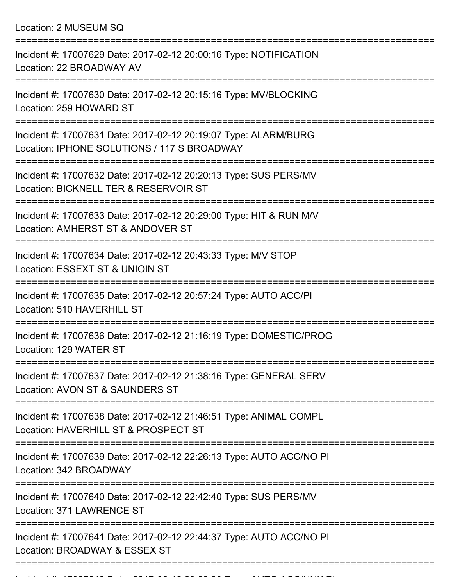Location: 2 MUSEUM SQ

| Incident #: 17007629 Date: 2017-02-12 20:00:16 Type: NOTIFICATION<br>Location: 22 BROADWAY AV                  |
|----------------------------------------------------------------------------------------------------------------|
| Incident #: 17007630 Date: 2017-02-12 20:15:16 Type: MV/BLOCKING<br>Location: 259 HOWARD ST                    |
| Incident #: 17007631 Date: 2017-02-12 20:19:07 Type: ALARM/BURG<br>Location: IPHONE SOLUTIONS / 117 S BROADWAY |
| Incident #: 17007632 Date: 2017-02-12 20:20:13 Type: SUS PERS/MV<br>Location: BICKNELL TER & RESERVOIR ST      |
| Incident #: 17007633 Date: 2017-02-12 20:29:00 Type: HIT & RUN M/V<br>Location: AMHERST ST & ANDOVER ST        |
| Incident #: 17007634 Date: 2017-02-12 20:43:33 Type: M/V STOP<br>Location: ESSEXT ST & UNIOIN ST               |
| Incident #: 17007635 Date: 2017-02-12 20:57:24 Type: AUTO ACC/PI<br>Location: 510 HAVERHILL ST                 |
| Incident #: 17007636 Date: 2017-02-12 21:16:19 Type: DOMESTIC/PROG<br>Location: 129 WATER ST                   |
| Incident #: 17007637 Date: 2017-02-12 21:38:16 Type: GENERAL SERV<br>Location: AVON ST & SAUNDERS ST           |
| Incident #: 17007638 Date: 2017-02-12 21:46:51 Type: ANIMAL COMPL<br>Location: HAVERHILL ST & PROSPECT ST      |
| Incident #: 17007639 Date: 2017-02-12 22:26:13 Type: AUTO ACC/NO PI<br>Location: 342 BROADWAY                  |
| Incident #: 17007640 Date: 2017-02-12 22:42:40 Type: SUS PERS/MV<br>Location: 371 LAWRENCE ST                  |
| Incident #: 17007641 Date: 2017-02-12 22:44:37 Type: AUTO ACC/NO PI<br>Location: BROADWAY & ESSEX ST           |
|                                                                                                                |